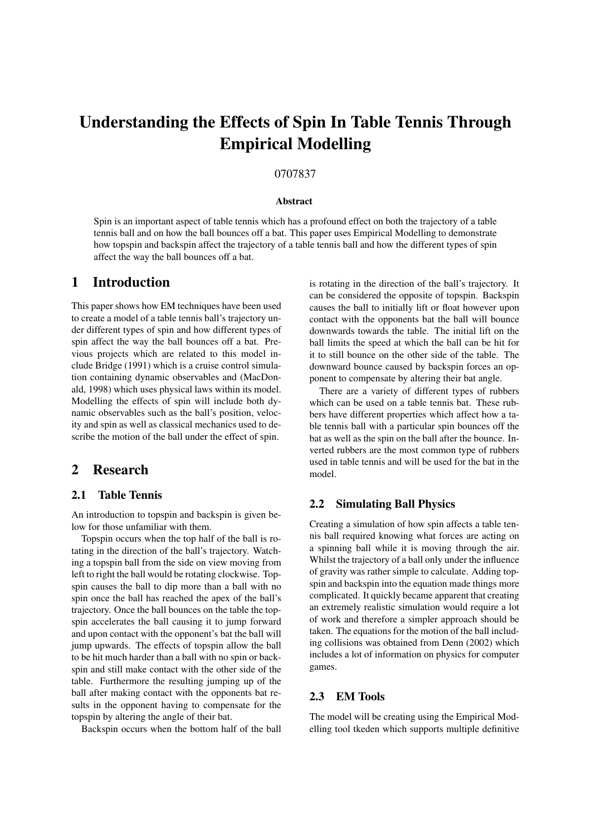# Understanding the Effects of Spin In Table Tennis Through Empirical Modelling

#### 0707837

#### Abstract

Spin is an important aspect of table tennis which has a profound effect on both the trajectory of a table tennis ball and on how the ball bounces off a bat. This paper uses Empirical Modelling to demonstrate how topspin and backspin affect the trajectory of a table tennis ball and how the different types of spin affect the way the ball bounces off a bat.

### 1 Introduction

This paper shows how EM techniques have been used to create a model of a table tennis ball's trajectory under different types of spin and how different types of spin affect the way the ball bounces off a bat. Previous projects which are related to this model include Bridge (1991) which is a cruise control simulation containing dynamic observables and (MacDonald, 1998) which uses physical laws within its model. Modelling the effects of spin will include both dynamic observables such as the ball's position, velocity and spin as well as classical mechanics used to describe the motion of the ball under the effect of spin.

## 2 Research

#### 2.1 Table Tennis

An introduction to topspin and backspin is given below for those unfamiliar with them.

Topspin occurs when the top half of the ball is rotating in the direction of the ball's trajectory. Watching a topspin ball from the side on view moving from left to right the ball would be rotating clockwise. Topspin causes the ball to dip more than a ball with no spin once the ball has reached the apex of the ball's trajectory. Once the ball bounces on the table the topspin accelerates the ball causing it to jump forward and upon contact with the opponent's bat the ball will jump upwards. The effects of topspin allow the ball to be hit much harder than a ball with no spin or backspin and still make contact with the other side of the table. Furthermore the resulting jumping up of the ball after making contact with the opponents bat results in the opponent having to compensate for the topspin by altering the angle of their bat.

Backspin occurs when the bottom half of the ball

is rotating in the direction of the ball's trajectory. It can be considered the opposite of topspin. Backspin causes the ball to initially lift or float however upon contact with the opponents bat the ball will bounce downwards towards the table. The initial lift on the ball limits the speed at which the ball can be hit for it to still bounce on the other side of the table. The downward bounce caused by backspin forces an opponent to compensate by altering their bat angle.

There are a variety of different types of rubbers which can be used on a table tennis bat. These rubbers have different properties which affect how a table tennis ball with a particular spin bounces off the bat as well as the spin on the ball after the bounce. Inverted rubbers are the most common type of rubbers used in table tennis and will be used for the bat in the model.

#### 2.2 Simulating Ball Physics

Creating a simulation of how spin affects a table tennis ball required knowing what forces are acting on a spinning ball while it is moving through the air. Whilst the trajectory of a ball only under the influence of gravity was rather simple to calculate. Adding topspin and backspin into the equation made things more complicated. It quickly became apparent that creating an extremely realistic simulation would require a lot of work and therefore a simpler approach should be taken. The equations for the motion of the ball including collisions was obtained from Denn (2002) which includes a lot of information on physics for computer games.

#### 2.3 EM Tools

The model will be creating using the Empirical Modelling tool tkeden which supports multiple definitive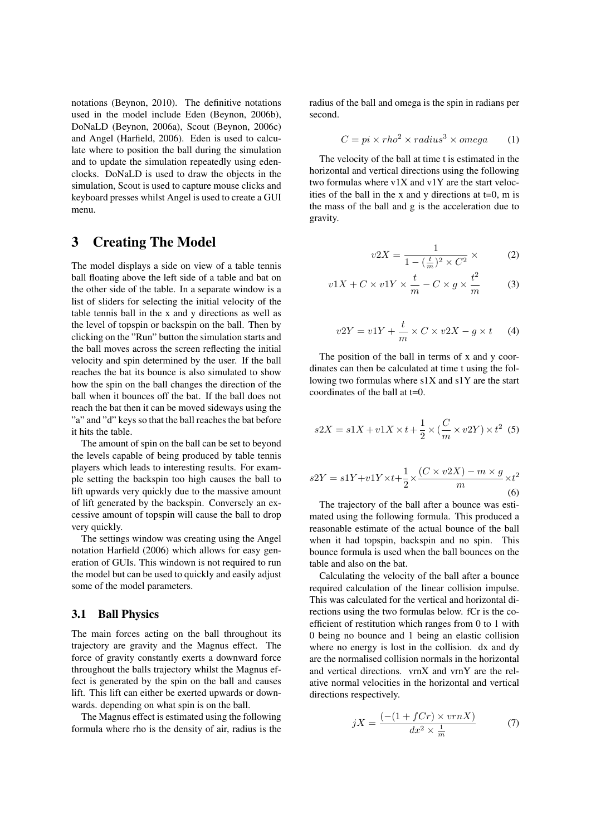notations (Beynon, 2010). The definitive notations used in the model include Eden (Beynon, 2006b), DoNaLD (Beynon, 2006a), Scout (Beynon, 2006c) and Angel (Harfield, 2006). Eden is used to calculate where to position the ball during the simulation and to update the simulation repeatedly using edenclocks. DoNaLD is used to draw the objects in the simulation, Scout is used to capture mouse clicks and keyboard presses whilst Angel is used to create a GUI menu.

## 3 Creating The Model

The model displays a side on view of a table tennis ball floating above the left side of a table and bat on the other side of the table. In a separate window is a list of sliders for selecting the initial velocity of the table tennis ball in the x and y directions as well as the level of topspin or backspin on the ball. Then by clicking on the "Run" button the simulation starts and the ball moves across the screen reflecting the initial velocity and spin determined by the user. If the ball reaches the bat its bounce is also simulated to show how the spin on the ball changes the direction of the ball when it bounces off the bat. If the ball does not reach the bat then it can be moved sideways using the "a" and "d" keys so that the ball reaches the bat before it hits the table.

The amount of spin on the ball can be set to beyond the levels capable of being produced by table tennis players which leads to interesting results. For example setting the backspin too high causes the ball to lift upwards very quickly due to the massive amount of lift generated by the backspin. Conversely an excessive amount of topspin will cause the ball to drop very quickly.

The settings window was creating using the Angel notation Harfield (2006) which allows for easy generation of GUIs. This windown is not required to run the model but can be used to quickly and easily adjust some of the model parameters.

#### 3.1 Ball Physics

The main forces acting on the ball throughout its trajectory are gravity and the Magnus effect. The force of gravity constantly exerts a downward force throughout the balls trajectory whilst the Magnus effect is generated by the spin on the ball and causes lift. This lift can either be exerted upwards or downwards. depending on what spin is on the ball.

The Magnus effect is estimated using the following formula where rho is the density of air, radius is the radius of the ball and omega is the spin in radians per second.

$$
C = pi \times rho^2 \times radius^3 \times omega \qquad (1)
$$

The velocity of the ball at time t is estimated in the horizontal and vertical directions using the following two formulas where v1X and v1Y are the start velocities of the ball in the x and y directions at  $t=0$ , m is the mass of the ball and g is the acceleration due to gravity.

$$
v2X = \frac{1}{1 - \left(\frac{t}{m}\right)^2 \times C^2} \times \tag{2}
$$

$$
v1X + C \times v1Y \times \frac{t}{m} - C \times g \times \frac{t^2}{m}
$$
 (3)

$$
v2Y = v1Y + \frac{t}{m} \times C \times v2X - g \times t \tag{4}
$$

The position of the ball in terms of x and y coordinates can then be calculated at time t using the following two formulas where s1X and s1Y are the start coordinates of the ball at t=0.

$$
s2X = s1X + v1X \times t + \frac{1}{2} \times (\frac{C}{m} \times v2Y) \times t^2
$$
 (5)

$$
s2Y = s1Y + v1Y \times t + \frac{1}{2} \times \frac{(C \times v2X) - m \times g}{m} \times t^2
$$
\n
$$
(6)
$$

The trajectory of the ball after a bounce was estimated using the following formula. This produced a reasonable estimate of the actual bounce of the ball when it had topspin, backspin and no spin. This bounce formula is used when the ball bounces on the table and also on the bat.

Calculating the velocity of the ball after a bounce required calculation of the linear collision impulse. This was calculated for the vertical and horizontal directions using the two formulas below. fCr is the coefficient of restitution which ranges from 0 to 1 with 0 being no bounce and 1 being an elastic collision where no energy is lost in the collision. dx and dy are the normalised collision normals in the horizontal and vertical directions. vrnX and vrnY are the relative normal velocities in the horizontal and vertical directions respectively.

$$
jX = \frac{(-(1 + fCr) \times vrnX)}{dx^2 \times \frac{1}{m}}\tag{7}
$$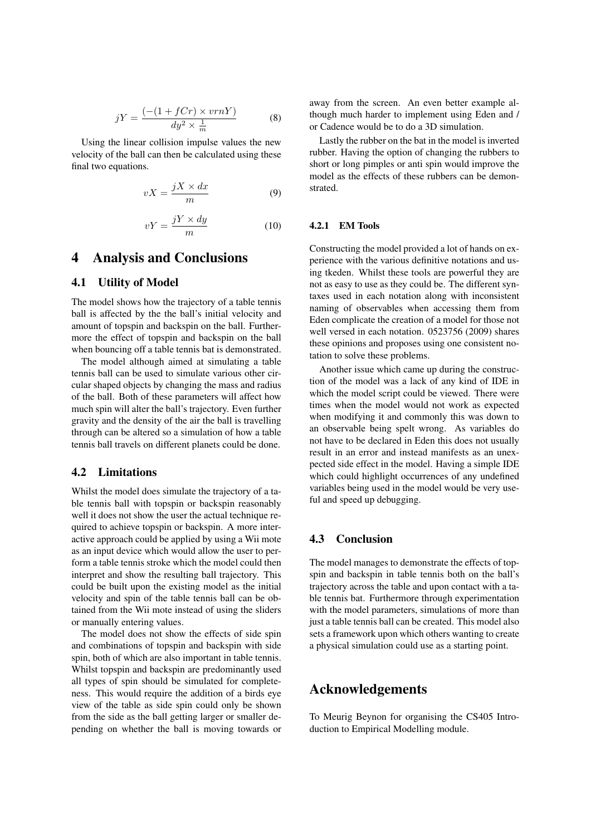$$
jY = \frac{(-(1 + fCr) \times vrnY)}{dy^2 \times \frac{1}{m}} \tag{8}
$$

Using the linear collision impulse values the new velocity of the ball can then be calculated using these final two equations.

$$
vX = \frac{jX \times dx}{m} \tag{9}
$$

$$
vY = \frac{jY \times dy}{m} \tag{10}
$$

## 4 Analysis and Conclusions

#### 4.1 Utility of Model

The model shows how the trajectory of a table tennis ball is affected by the the ball's initial velocity and amount of topspin and backspin on the ball. Furthermore the effect of topspin and backspin on the ball when bouncing off a table tennis bat is demonstrated.

The model although aimed at simulating a table tennis ball can be used to simulate various other circular shaped objects by changing the mass and radius of the ball. Both of these parameters will affect how much spin will alter the ball's trajectory. Even further gravity and the density of the air the ball is travelling through can be altered so a simulation of how a table tennis ball travels on different planets could be done.

#### 4.2 Limitations

Whilst the model does simulate the trajectory of a table tennis ball with topspin or backspin reasonably well it does not show the user the actual technique required to achieve topspin or backspin. A more interactive approach could be applied by using a Wii mote as an input device which would allow the user to perform a table tennis stroke which the model could then interpret and show the resulting ball trajectory. This could be built upon the existing model as the initial velocity and spin of the table tennis ball can be obtained from the Wii mote instead of using the sliders or manually entering values.

The model does not show the effects of side spin and combinations of topspin and backspin with side spin, both of which are also important in table tennis. Whilst topspin and backspin are predominantly used all types of spin should be simulated for completeness. This would require the addition of a birds eye view of the table as side spin could only be shown from the side as the ball getting larger or smaller depending on whether the ball is moving towards or away from the screen. An even better example although much harder to implement using Eden and / or Cadence would be to do a 3D simulation.

Lastly the rubber on the bat in the model is inverted rubber. Having the option of changing the rubbers to short or long pimples or anti spin would improve the model as the effects of these rubbers can be demonstrated.

#### 4.2.1 EM Tools

Constructing the model provided a lot of hands on experience with the various definitive notations and using tkeden. Whilst these tools are powerful they are not as easy to use as they could be. The different syntaxes used in each notation along with inconsistent naming of observables when accessing them from Eden complicate the creation of a model for those not well versed in each notation. 0523756 (2009) shares these opinions and proposes using one consistent notation to solve these problems.

Another issue which came up during the construction of the model was a lack of any kind of IDE in which the model script could be viewed. There were times when the model would not work as expected when modifying it and commonly this was down to an observable being spelt wrong. As variables do not have to be declared in Eden this does not usually result in an error and instead manifests as an unexpected side effect in the model. Having a simple IDE which could highlight occurrences of any undefined variables being used in the model would be very useful and speed up debugging.

#### 4.3 Conclusion

The model manages to demonstrate the effects of topspin and backspin in table tennis both on the ball's trajectory across the table and upon contact with a table tennis bat. Furthermore through experimentation with the model parameters, simulations of more than just a table tennis ball can be created. This model also sets a framework upon which others wanting to create a physical simulation could use as a starting point.

## Acknowledgements

To Meurig Beynon for organising the CS405 Introduction to Empirical Modelling module.